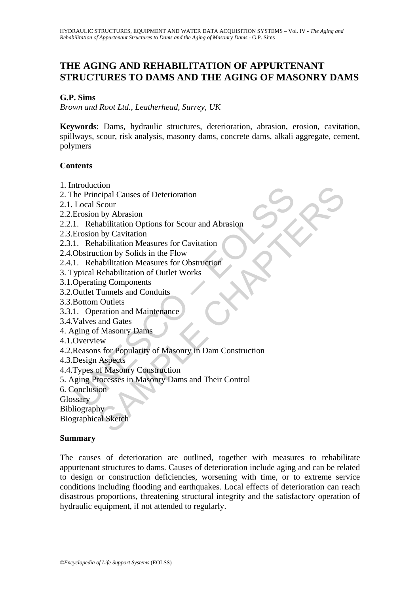# **THE AGING AND REHABILITATION OF APPURTENANT STRUCTURES TO DAMS AND THE AGING OF MASONRY DAMS**

#### **G.P. Sims**

*Brown and Root Ltd., Leatherhead, Surrey, UK* 

**Keywords**: Dams, hydraulic structures, deterioration, abrasion, erosion, cavitation, spillways, scour, risk analysis, masonry dams, concrete dams, alkali aggregate, cement, polymers

### **Contents**

- 1. Introduction
- 2. The Principal Causes of Deterioration
- 2.1. Local Scour
- 2.2.Erosion by Abrasion
- 2.2.1. Rehabilitation Options for Scour and Abrasion
- 2.3.Erosion by Cavitation
- 2.3.1. Rehabilitation Measures for Cavitation
- 2.4.Obstruction by Solids in the Flow
- 2.4.1. Rehabilitation Measures for Obstruction
- 3. Typical Rehabilitation of Outlet Works
- 3.1.Operating Components
- 3.2.Outlet Tunnels and Conduits
- 3.3.Bottom Outlets
- 3.3.1. Operation and Maintenance
- 3.4.Valves and Gates
- 4. Aging of Masonry Dams
- 4.1.Overview
- Motaculon<br>
In Principal Causes of Deterioration<br>
Local Scour<br>
Erosion by Abrasion<br>
1. Rehabilitation Options for Scour and Abrasion<br>
Disk contraction<br>
Obstruction by Solids in the Flow<br>
1. Rehabilitation Measures for Obstr ton<br>
cipal Causes of Deterioration<br>
Scour<br>
Scour<br>
h by Abrasion<br>
abulitation Options for Scour and Abrasion<br>
h by Cavitation<br>
nabilitation Measures for Cavitation<br>
nabilitation Measures for Obstruction<br>
Rehabilitation of O 4.2.Reasons for Popularity of Masonry in Dam Construction
- 4.3.Design Aspects
- 4.4.Types of Masonry Construction
- 5. Aging Processes in Masonry Dams and Their Control
- 6. Conclusion
- **Glossary**
- Bibliography

Biographical Sketch

#### **Summary**

The causes of deterioration are outlined, together with measures to rehabilitate appurtenant structures to dams. Causes of deterioration include aging and can be related to design or construction deficiencies, worsening with time, or to extreme service conditions including flooding and earthquakes. Local effects of deterioration can reach disastrous proportions, threatening structural integrity and the satisfactory operation of hydraulic equipment, if not attended to regularly.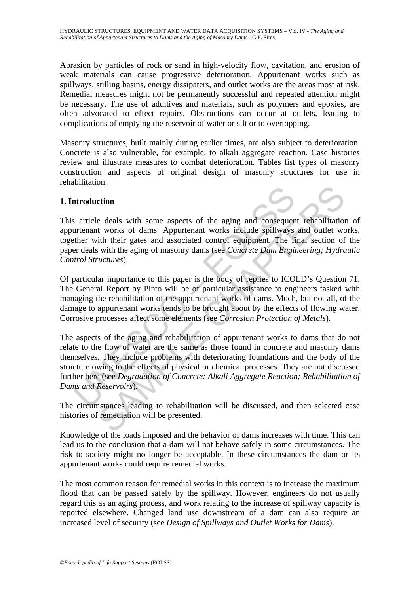Abrasion by particles of rock or sand in high-velocity flow, cavitation, and erosion of weak materials can cause progressive deterioration. Appurtenant works such as spillways, stilling basins, energy dissipaters, and outlet works are the areas most at risk. Remedial measures might not be permanently successful and repeated attention might be necessary. The use of additives and materials, such as polymers and epoxies, are often advocated to effect repairs. Obstructions can occur at outlets, leading to complications of emptying the reservoir of water or silt or to overtopping.

Masonry structures, built mainly during earlier times, are also subject to deterioration. Concrete is also vulnerable, for example, to alkali aggregate reaction. Case histories review and illustrate measures to combat deterioration. Tables list types of masonry construction and aspects of original design of masonry structures for use in rehabilitation.

### **1. Introduction**

This article deals with some aspects of the aging and consequent rehabilitation of appurtenant works of dams. Appurtenant works include spillways and outlet works, together with their gates and associated control equipment. The final section of the paper deals with the aging of masonry dams (see *Concrete Dam Engineering; Hydraulic Control Structures*).

Of particular importance to this paper is the body of replies to ICOLD's Question 71. The General Report by Pinto will be of particular assistance to engineers tasked with managing the rehabilitation of the appurtenant works of dams. Much, but not all, of the damage to appurtenant works tends to be brought about by the effects of flowing water. Corrosive processes affect some elements (see *Corrosion Protection of Metals*).

article deals with some aspects of the aging and consequent<br>urtenant works of dams. Appurtenant works include spillways<br>urtenant works of dams. Appurtenant works include spillways<br>ther with their gates and associated contr and<br>
e deals with some aspects of the aging and consequent rehabilitation<br>
t works of dams. Appurtenant works include spillways and outlet we<br>
tith their gates and associated control equipment. The final section of<br>
with t The aspects of the aging and rehabilitation of appurtenant works to dams that do not relate to the flow of water are the same as those found in concrete and masonry dams themselves. They include problems with deteriorating foundations and the body of the structure owing to the effects of physical or chemical processes. They are not discussed further here (see *Degradation of Concrete: Alkali Aggregate Reaction; Rehabilitation of Dams and Reservoirs*).

The circumstances leading to rehabilitation will be discussed, and then selected case histories of remediation will be presented.

Knowledge of the loads imposed and the behavior of dams increases with time. This can lead us to the conclusion that a dam will not behave safely in some circumstances. The risk to society might no longer be acceptable. In these circumstances the dam or its appurtenant works could require remedial works.

The most common reason for remedial works in this context is to increase the maximum flood that can be passed safely by the spillway. However, engineers do not usually regard this as an aging process, and work relating to the increase of spillway capacity is reported elsewhere. Changed land use downstream of a dam can also require an increased level of security (see *Design of Spillways and Outlet Works for Dams*).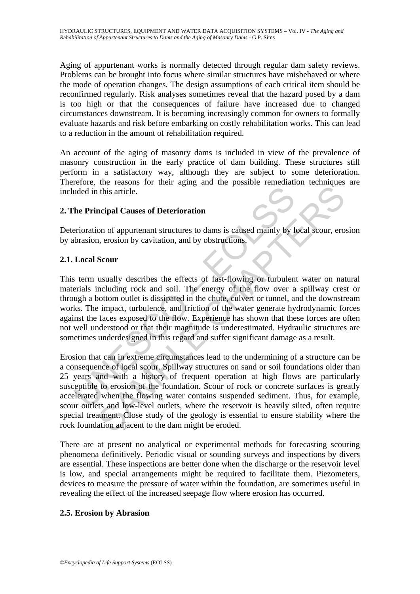Aging of appurtenant works is normally detected through regular dam safety reviews. Problems can be brought into focus where similar structures have misbehaved or where the mode of operation changes. The design assumptions of each critical item should be reconfirmed regularly. Risk analyses sometimes reveal that the hazard posed by a dam is too high or that the consequences of failure have increased due to changed circumstances downstream. It is becoming increasingly common for owners to formally evaluate hazards and risk before embarking on costly rehabilitation works. This can lead to a reduction in the amount of rehabilitation required.

An account of the aging of masonry dams is included in view of the prevalence of masonry construction in the early practice of dam building. These structures still perform in a satisfactory way, although they are subject to some deterioration. Therefore, the reasons for their aging and the possible remediation techniques are included in this article.

# **2. The Principal Causes of Deterioration**

Deterioration of appurtenant structures to dams is caused mainly by local scour, erosion by abrasion, erosion by cavitation, and by obstructions.

### **2.1. Local Scour**

uded in this article.<br> **he Principal Causes of Deterioration**<br> **he Principal Causes of Deterioration**<br> **erioration**<br> **erioration**, erosion by cavitation, and by obstructions.<br> **Local Scour**<br> **i** term usually describes the This term usually describes the effects of fast-flowing or turbulent water on natural materials including rock and soil. The energy of the flow over a spillway crest or through a bottom outlet is dissipated in the chute, culvert or tunnel, and the downstream works. The impact, turbulence, and friction of the water generate hydrodynamic forces against the faces exposed to the flow. Experience has shown that these forces are often not well understood or that their magnitude is underestimated. Hydraulic structures are sometimes underdesigned in this regard and suffer significant damage as a result.

This article.<br>
It is a tricle.<br>
It is a tricle.<br>
In this article.<br>
In this article.<br>
In this article.<br>
In the strate of the probability of the strength of the strength of the strength of the court<br>
In the strategy of the f Erosion that can in extreme circumstances lead to the undermining of a structure can be a consequence of local scour. Spillway structures on sand or soil foundations older than 25 years and with a history of frequent operation at high flows are particularly susceptible to erosion of the foundation. Scour of rock or concrete surfaces is greatly accelerated when the flowing water contains suspended sediment. Thus, for example, scour outlets and low-level outlets, where the reservoir is heavily silted, often require special treatment. Close study of the geology is essential to ensure stability where the rock foundation adjacent to the dam might be eroded.

There are at present no analytical or experimental methods for forecasting scouring phenomena definitively. Periodic visual or sounding surveys and inspections by divers are essential. These inspections are better done when the discharge or the reservoir level is low, and special arrangements might be required to facilitate them. Piezometers, devices to measure the pressure of water within the foundation, are sometimes useful in revealing the effect of the increased seepage flow where erosion has occurred.

#### **2.5. Erosion by Abrasion**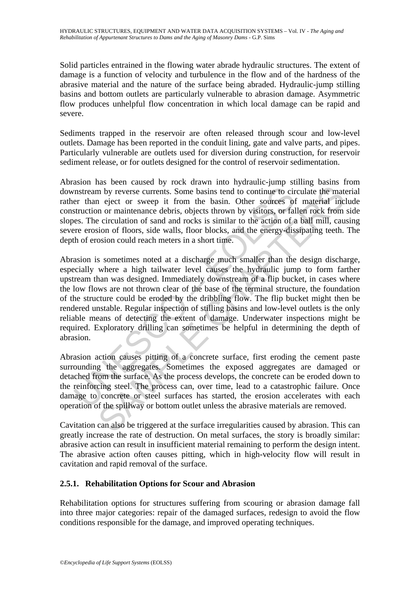Solid particles entrained in the flowing water abrade hydraulic structures. The extent of damage is a function of velocity and turbulence in the flow and of the hardness of the abrasive material and the nature of the surface being abraded. Hydraulic-jump stilling basins and bottom outlets are particularly vulnerable to abrasion damage. Asymmetric flow produces unhelpful flow concentration in which local damage can be rapid and severe.

Sediments trapped in the reservoir are often released through scour and low-level outlets. Damage has been reported in the conduit lining, gate and valve parts, and pipes. Particularly vulnerable are outlets used for diversion during construction, for reservoir sediment release, or for outlets designed for the control of reservoir sedimentation.

Abrasion has been caused by rock drawn into hydraulic-jump stilling basins from downstream by reverse currents. Some basins tend to continue to circulate the material rather than eject or sweep it from the basin. Other sources of material include construction or maintenance debris, objects thrown by visitors, or fallen rock from side slopes. The circulation of sand and rocks is similar to the action of a ball mill, causing severe erosion of floors, side walls, floor blocks, and the energy-dissipating teeth. The depth of erosion could reach meters in a short time.

mstream by reverse currents. Some basins tend to continue to circle or than eject or sweep it from the basin. Other sources of struction or maintenance debris, objects thrown by visitors, or fall ess. The circulation of sa In by reverse currents. Some basins tend to continue to circulate the matrosoft responses of material into remove in the basin. Other sources of material incertain or maintenance debris, objects thrown by visitors, or fall Abrasion is sometimes noted at a discharge much smaller than the design discharge, especially where a high tailwater level causes the hydraulic jump to form farther upstream than was designed. Immediately downstream of a flip bucket, in cases where the low flows are not thrown clear of the base of the terminal structure, the foundation of the structure could be eroded by the dribbling flow. The flip bucket might then be rendered unstable. Regular inspection of stilling basins and low-level outlets is the only reliable means of detecting the extent of damage. Underwater inspections might be required. Exploratory drilling can sometimes be helpful in determining the depth of abrasion.

Abrasion action causes pitting of a concrete surface, first eroding the cement paste surrounding the aggregates. Sometimes the exposed aggregates are damaged or detached from the surface. As the process develops, the concrete can be eroded down to the reinforcing steel. The process can, over time, lead to a catastrophic failure. Once damage to concrete or steel surfaces has started, the erosion accelerates with each operation of the spillway or bottom outlet unless the abrasive materials are removed.

Cavitation can also be triggered at the surface irregularities caused by abrasion. This can greatly increase the rate of destruction. On metal surfaces, the story is broadly similar: abrasive action can result in insufficient material remaining to perform the design intent. The abrasive action often causes pitting, which in high-velocity flow will result in cavitation and rapid removal of the surface.

# **2.5.1. Rehabilitation Options for Scour and Abrasion**

Rehabilitation options for structures suffering from scouring or abrasion damage fall into three major categories: repair of the damaged surfaces, redesign to avoid the flow conditions responsible for the damage, and improved operating techniques.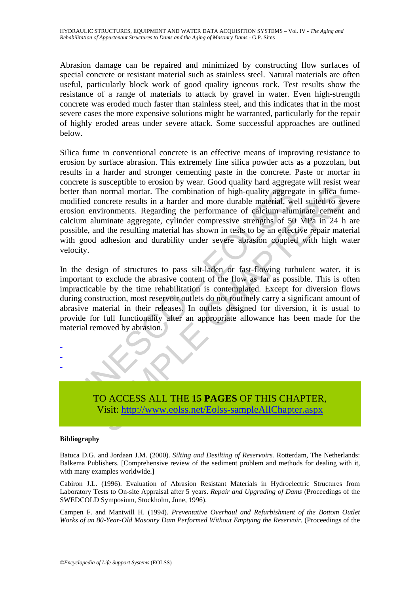Abrasion damage can be repaired and minimized by constructing flow surfaces of special concrete or resistant material such as stainless steel. Natural materials are often useful, particularly block work of good quality igneous rock. Test results show the resistance of a range of materials to attack by gravel in water. Even high-strength concrete was eroded much faster than stainless steel, and this indicates that in the most severe cases the more expensive solutions might be warranted, particularly for the repair of highly eroded areas under severe attack. Some successful approaches are outlined below.

er than normal mortar. The combination of high-quality aggreg<br>dified concrete results in a harder and more durable material, we<br>dified concrete results in a harder and more durable material, we<br>ione environments. Regarding normal mortar. The combination of high-quality aggregate in silica function-<br>normal mortar. The combination of high-quality aggregate in silica fu<br>oncrete results in a harder and more durable material, well suited to selec Silica fume in conventional concrete is an effective means of improving resistance to erosion by surface abrasion. This extremely fine silica powder acts as a pozzolan, but results in a harder and stronger cementing paste in the concrete. Paste or mortar in concrete is susceptible to erosion by wear. Good quality hard aggregate will resist wear better than normal mortar. The combination of high-quality aggregate in silica fumemodified concrete results in a harder and more durable material, well suited to severe erosion environments. Regarding the performance of calcium aluminate cement and calcium aluminate aggregate, cylinder compressive strengths of 50 MPa in 24 h are possible, and the resulting material has shown in tests to be an effective repair material with good adhesion and durability under severe abrasion coupled with high water velocity.

In the design of structures to pass silt-laden or fast-flowing turbulent water, it is important to exclude the abrasive content of the flow as far as possible. This is often impracticable by the time rehabilitation is contemplated. Except for diversion flows during construction, most reservoir outlets do not routinely carry a significant amount of abrasive material in their releases. In outlets designed for diversion, it is usual to provide for full functionality after an appropriate allowance has been made for the material removed by abrasion.



#### **Bibliography**

- - -

Batuca D.G. and Jordaan J.M. (2000). *Silting and Desilting of Reservoirs.* Rotterdam, The Netherlands: Balkema Publishers. [Comprehensive review of the sediment problem and methods for dealing with it, with many examples worldwide.]

Cabiron J.L. (1996). Evaluation of Abrasion Resistant Materials in Hydroelectric Structures from Laboratory Tests to On-site Appraisal after 5 years. *Repair and Upgrading of Dams* (Proceedings of the SWEDCOLD Symposium, Stockholm, June, 1996).

Campen F. and Mantwill H. (1994). *Preventative Overhaul and Refurbishment of the Bottom Outlet Works of an 80-Year-Old Masonry Dam Performed Without Emptying the Reservoir.* (Proceedings of the